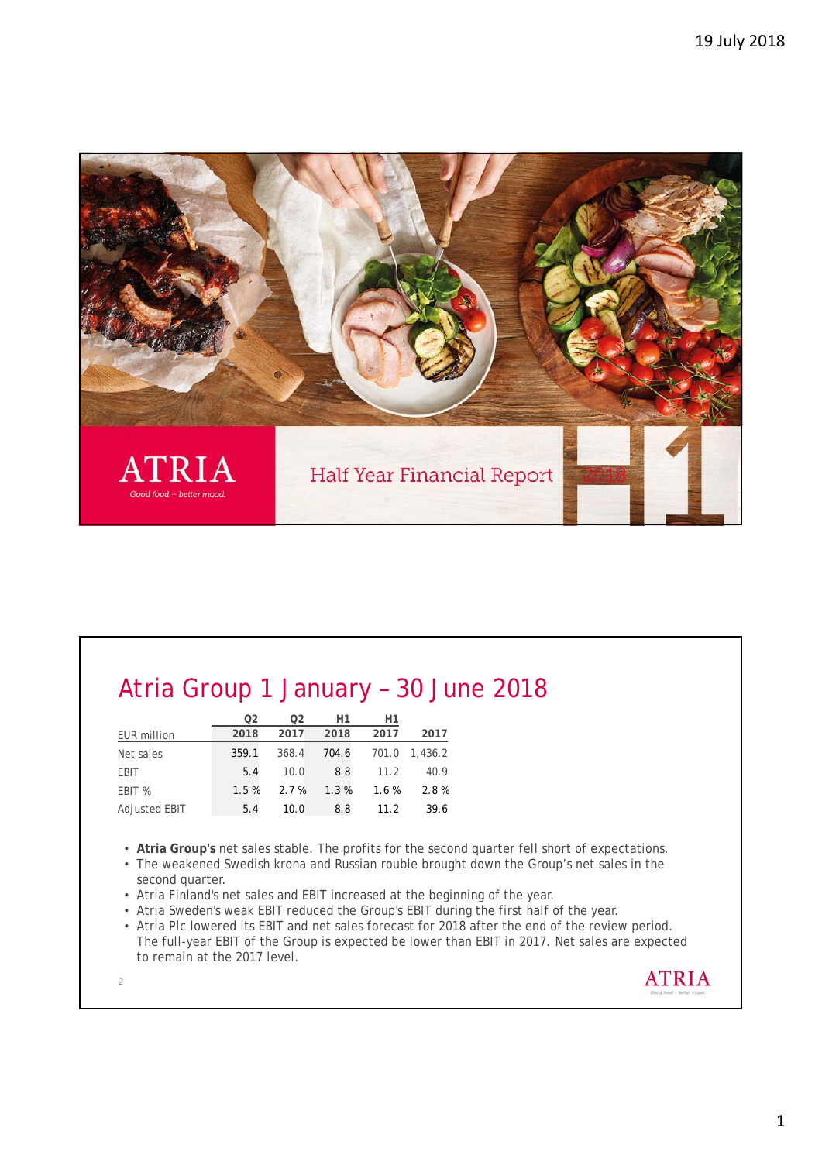

## Atria Group 1 January – 30 June 2018

|                    | O2    | 02    | Η1      | H1    |         |
|--------------------|-------|-------|---------|-------|---------|
| <b>EUR million</b> | 2018  | 2017  | 2018    | 2017  | 2017    |
| Net sales          | 359.1 | 368.4 | 704.6   | 701.0 | 1,436.2 |
| <b>EBIT</b>        | 5.4   | 10.0  | 8.8     | 11.2  | 40.9    |
| EBIT %             | 1.5%  | 2.7%  | $1.3\%$ | 1.6%  | 2.8%    |
| Adjusted EBIT      | 5.4   | 10.0  | 8.8     | 11.2  | 39.6    |

- **Atria Group's** net sales stable. The profits for the second quarter fell short of expectations.
- The weakened Swedish krona and Russian rouble brought down the Group's net sales in the second quarter.
- Atria Finland's net sales and EBIT increased at the beginning of the year.
- Atria Sweden's weak EBIT reduced the Group's EBIT during the first half of the year.
- Atria Plc lowered its EBIT and net sales forecast for 2018 after the end of the review period. The full-year EBIT of the Group is expected be lower than EBIT in 2017. Net sales are expected to remain at the 2017 level.

2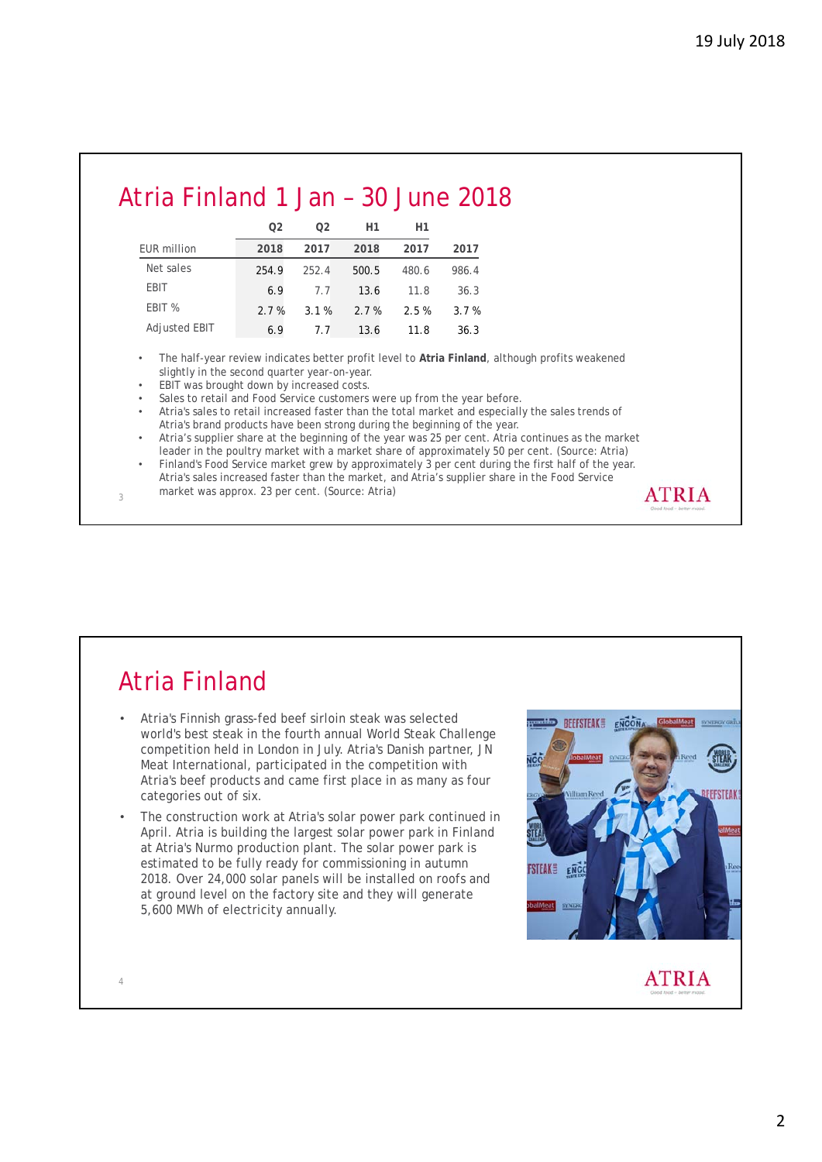### Atria Finland 1 Jan – 30 June 2018

|               | 02    | 02      | H1    | H1    |       |
|---------------|-------|---------|-------|-------|-------|
| EUR million   | 2018  | 2017    | 2018  | 2017  | 2017  |
| Net sales     | 254.9 | 252.4   | 500.5 | 480.6 | 986.4 |
| EBIT          | 6.9   | 7.7     | 13.6  | 11.8  | 36.3  |
| EBIT %        | 2.7%  | $3.1\%$ | 2.7%  | 2.5%  | 3.7%  |
| Adjusted EBIT | 6.9   | 77      | 13.6  | 11.8  | 36.3  |

• The half-year review indicates better profit level to **Atria Finland**, although profits weakened slightly in the second quarter year-on-year.

- EBIT was brought down by increased costs.
- Sales to retail and Food Service customers were up from the year before.
- Atria's sales to retail increased faster than the total market and especially the sales trends of Atria's brand products have been strong during the beginning of the year.
- Atria's supplier share at the beginning of the year was 25 per cent. Atria continues as the market leader in the poultry market with a market share of approximately 50 per cent. (Source: Atria)
- Finland's Food Service market grew by approximately 3 per cent during the first half of the year. Atria's sales increased faster than the market, and Atria's supplier share in the Food Service market was approx. 23 per cent. (Source: Atria) **ATRIA**

### Atria Finland

3

4

- Atria's Finnish grass-fed beef sirloin steak was selected world's best steak in the fourth annual World Steak Challenge competition held in London in July. Atria's Danish partner, JN Meat International, participated in the competition with Atria's beef products and came first place in as many as four categories out of six.
- The construction work at Atria's solar power park continued in April. Atria is building the largest solar power park in Finland at Atria's Nurmo production plant. The solar power park is estimated to be fully ready for commissioning in autumn 2018. Over 24,000 solar panels will be installed on roofs and at ground level on the factory site and they will generate 5,600 MWh of electricity annually.

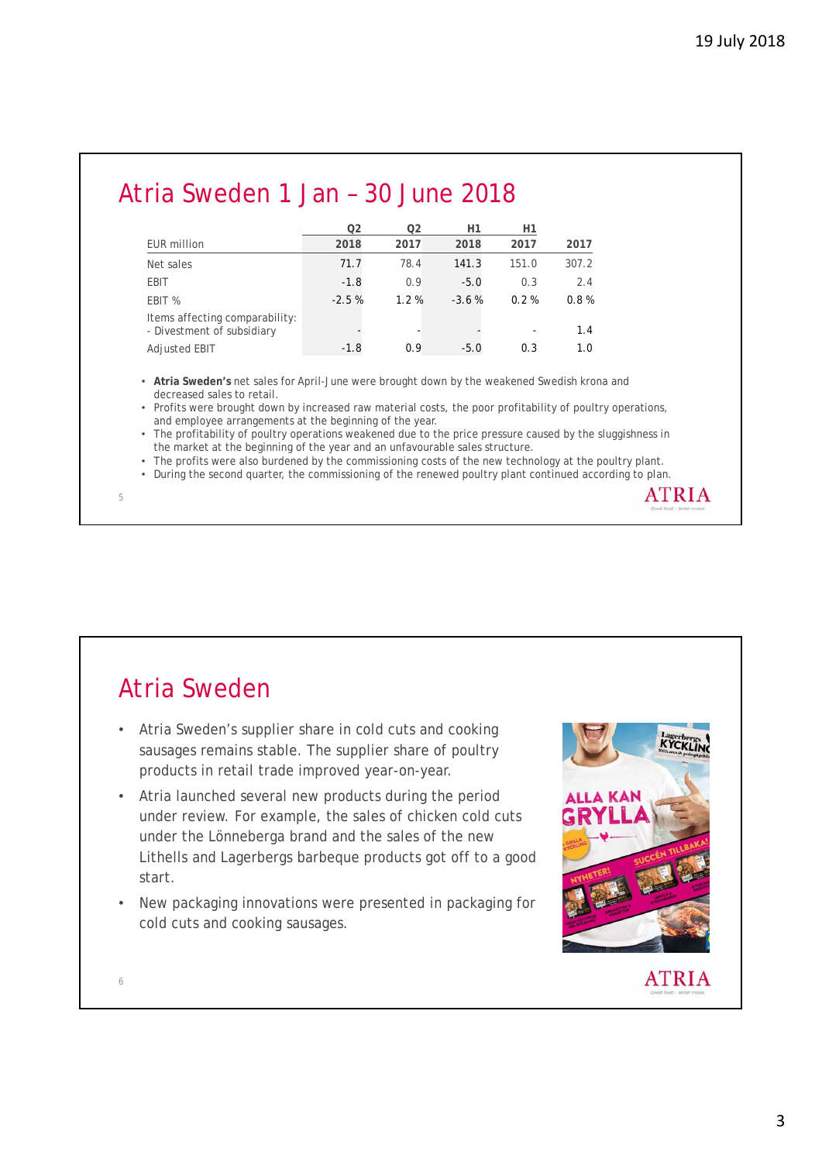| Atria Sweden 1 Jan - 30 June 2018 |                |                |         |          |       |
|-----------------------------------|----------------|----------------|---------|----------|-------|
|                                   | Q <sub>2</sub> | Q <sub>2</sub> | H1      | H1       |       |
| EUR million                       | 2018           | 2017           | 2018    | 2017     | 2017  |
| Net sales                         | 71.7           | 78.4           | 141.3   | 151.0    | 307.2 |
| EBIT                              | $-1.8$         | 0.9            | $-5.0$  | 0.3      | 2.4   |
| EBIT %                            | $-2.5%$        | 1.2%           | $-3.6%$ | $0.2 \%$ | 0.8%  |
| Items affecting comparability:    |                |                |         |          |       |

• **Atria Sweden's** net sales for April-June were brought down by the weakened Swedish krona and decreased sales to retail.

- Divestment of subsidiary **contact of the substantial contact of subsidiary**  $-$  -  $-$  -  $-$  -  $-$  1.4 Adjusted EBIT -1.8 0.9 -5.0 0.3 1.0

• Profits were brought down by increased raw material costs, the poor profitability of poultry operations, and employee arrangements at the beginning of the year.

The profitability of poultry operations weakened due to the price pressure caused by the sluggishness in the market at the beginning of the year and an unfavourable sales structure.

• The profits were also burdened by the commissioning costs of the new technology at the poultry plant.

• During the second quarter, the commissioning of the renewed poultry plant continued according to plan. **ATRIA** 

### Atria Sweden

5

6

- Atria Sweden's supplier share in cold cuts and cooking sausages remains stable. The supplier share of poultry products in retail trade improved year-on-year.
- Atria launched several new products during the period under review. For example, the sales of chicken cold cuts under the Lönneberga brand and the sales of the new Lithells and Lagerbergs barbeque products got off to a good start.
- New packaging innovations were presented in packaging for cold cuts and cooking sausages.

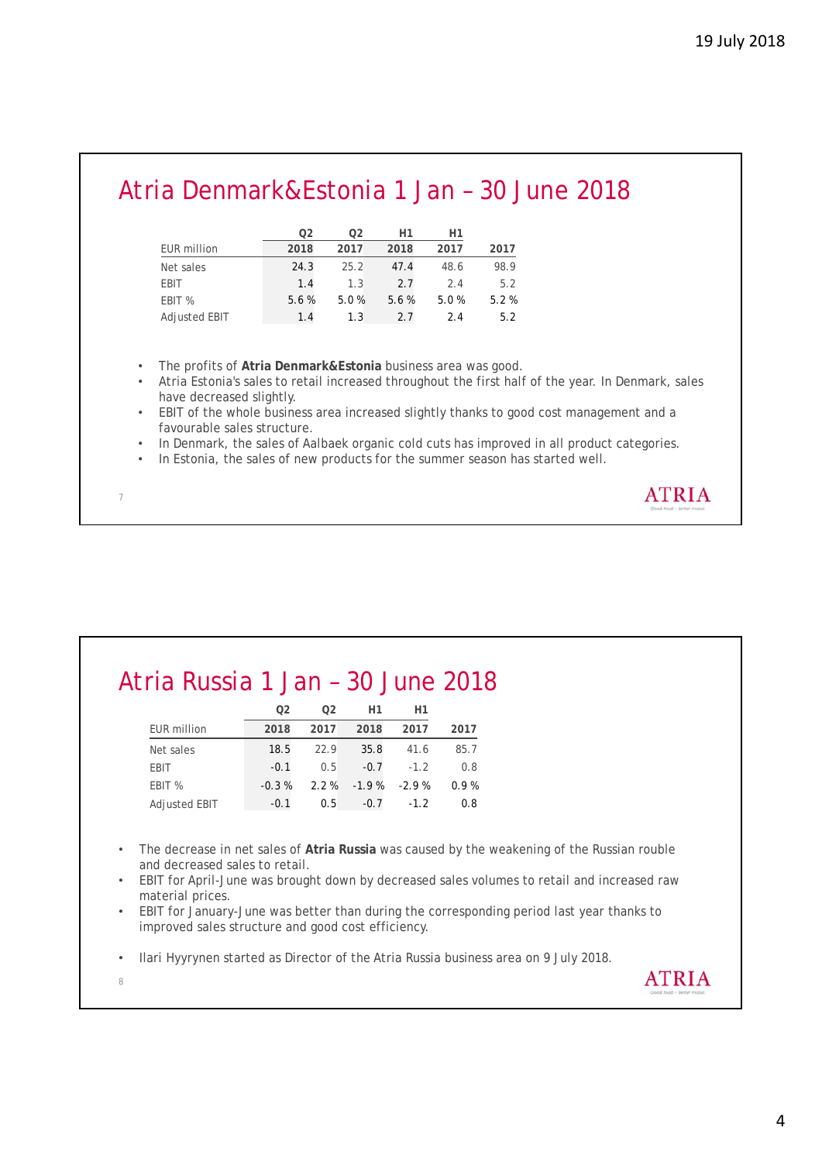**ATRIA** 

**ATRIA** 

## Atria Denmark&Estonia 1 Jan – 30 June 2018

|                    | 02   | 02   | H1   | H1   |      |
|--------------------|------|------|------|------|------|
| <b>EUR million</b> | 2018 | 2017 | 2018 | 2017 | 2017 |
| Net sales          | 24.3 | 25.2 | 47.4 | 48.6 | 98.9 |
| <b>EBIT</b>        | 1.4  | 1.3  | 2.7  | 2.4  | 5.2  |
| EBIT %             | 5.6% | 5.0% | 5.6% | 5.0% | 5.2% |
| Adjusted EBIT      | 1.4  | 1.3  | 2.7  | 2.4  | 5.2  |

• The profits of **Atria Denmark&Estonia** business area was good.

- Atria Estonia's sales to retail increased throughout the first half of the year. In Denmark, sales have decreased slightly.
- EBIT of the whole business area increased slightly thanks to good cost management and a favourable sales structure.
- In Denmark, the sales of Aalbaek organic cold cuts has improved in all product categories.
- In Estonia, the sales of new products for the summer season has started well.

#### Atria Russia 1 Jan – 30 June 2018

|                      | O <sub>2</sub> | O2      | Η1      | Η1      |      |
|----------------------|----------------|---------|---------|---------|------|
| <b>EUR million</b>   | 2018           | 2017    | 2018    | 2017    | 2017 |
| Net sales            | 18.5           | 22.9    | 35.8    | 41.6    | 85.7 |
| <b>EBIT</b>          | $-0.1$         | 0.5     | $-0.7$  | $-1.2$  | 0.8  |
| EBIT %               | $-0.3%$        | $2.2\%$ | $-1.9%$ | $-2.9%$ | 0.9% |
| <b>Adjusted EBIT</b> | $-0.1$         | 0.5     | $-0.7$  | $-1.2$  | 0.8  |

- The decrease in net sales of **Atria Russia** was caused by the weakening of the Russian rouble and decreased sales to retail.
- EBIT for April-June was brought down by decreased sales volumes to retail and increased raw material prices.
- EBIT for January-June was better than during the corresponding period last year thanks to improved sales structure and good cost efficiency.
- Ilari Hyyrynen started as Director of the Atria Russia business area on 9 July 2018.
- 8

7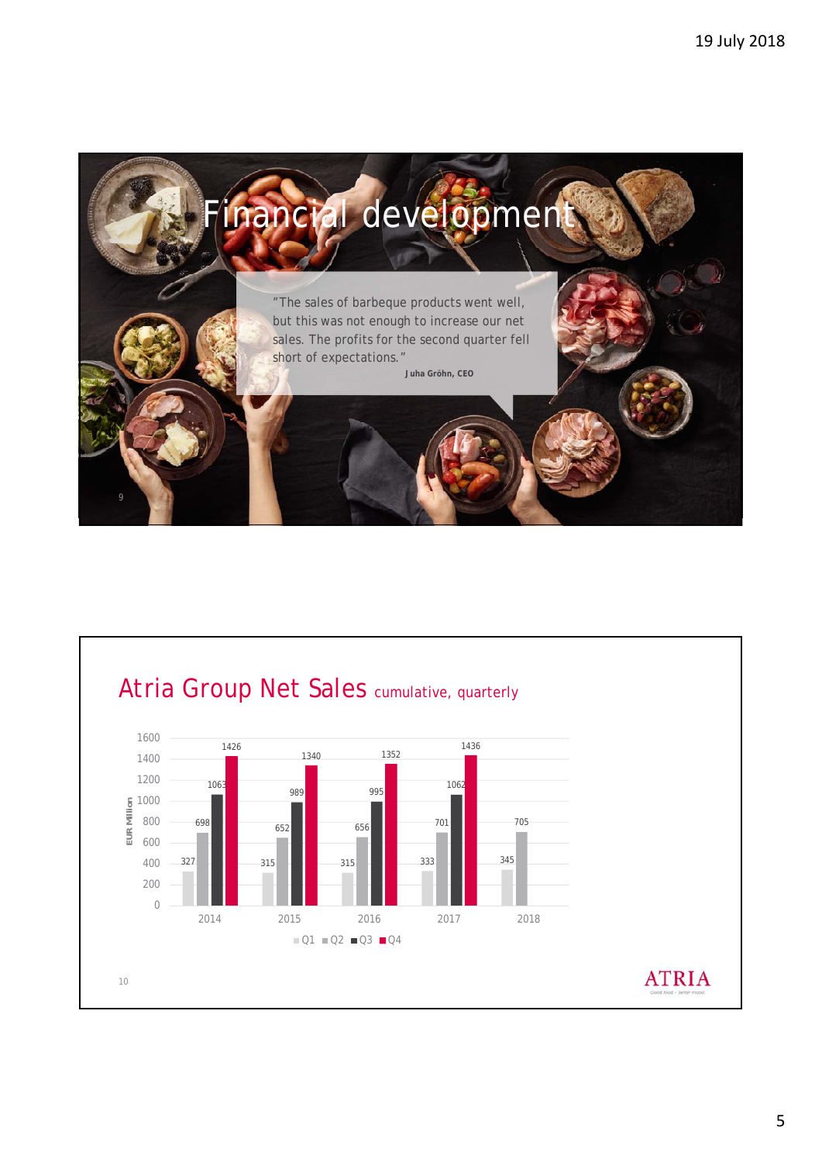

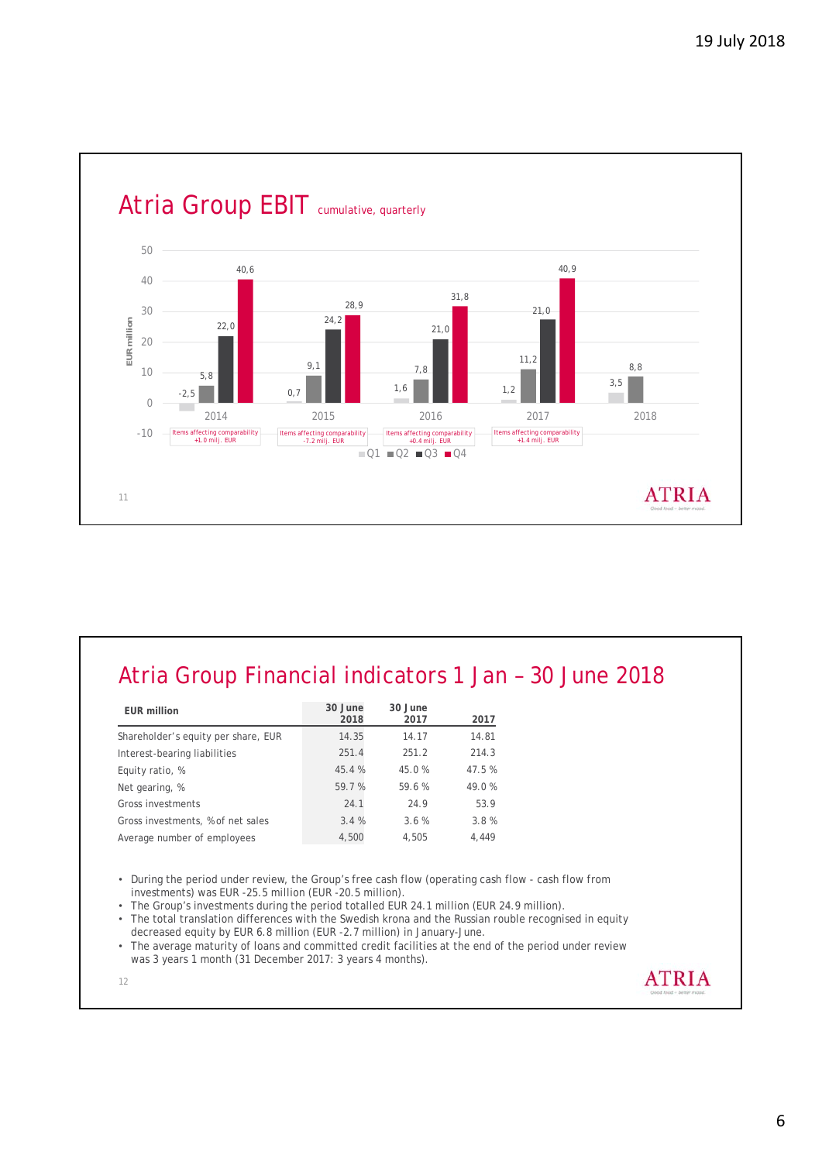

#### Atria Group Financial indicators 1 Jan – 30 June 2018

| <b>EUR million</b>                  | 30 June<br>2018 | 30 June<br>2017 | 2017   |
|-------------------------------------|-----------------|-----------------|--------|
| Shareholder's equity per share, EUR | 14.35           | 14.17           | 14.81  |
| Interest-bearing liabilities        | 251.4           | 251.2           | 214.3  |
| Equity ratio, %                     | 45.4%           | 45.0%           | 47.5 % |
| Net gearing, %                      | 59.7%           | 59.6%           | 49.0%  |
| Gross investments                   | 24.1            | 24.9            | 53.9   |
| Gross investments, % of net sales   | 3.4%            | 3.6%            | 3.8%   |
| Average number of employees         | 4,500           | 4,505           | 4,449  |
|                                     |                 |                 |        |

• During the period under review, the Group's free cash flow (operating cash flow - cash flow from investments) was EUR -25.5 million (EUR -20.5 million).

• The Group's investments during the period totalled EUR 24.1 million (EUR 24.9 million).

• The total translation differences with the Swedish krona and the Russian rouble recognised in equity decreased equity by EUR 6.8 million (EUR -2.7 million) in January-June.

• The average maturity of loans and committed credit facilities at the end of the period under review was 3 years 1 month (31 December 2017: 3 years 4 months).

![](_page_5_Figure_8.jpeg)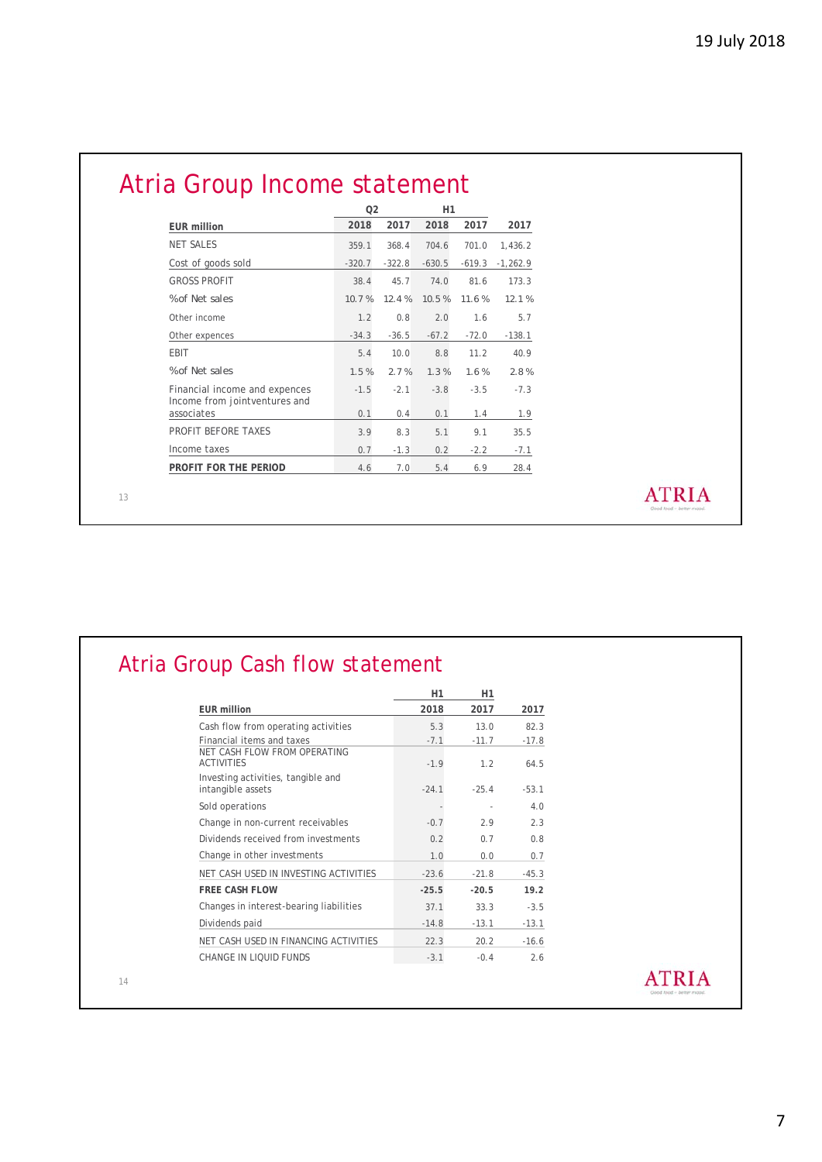# Atria Group Income statement

|                                                                | 02       |          | H1       |          |            |  |
|----------------------------------------------------------------|----------|----------|----------|----------|------------|--|
| <b>EUR million</b>                                             | 2018     | 2017     | 2018     | 2017     | 2017       |  |
| <b>NET SALES</b>                                               | 359.1    | 368.4    | 704.6    | 701.0    | 1,436.2    |  |
| Cost of goods sold                                             | $-320.7$ | $-322.8$ | $-630.5$ | $-619.3$ | $-1,262.9$ |  |
| <b>GROSS PROFIT</b>                                            | 38.4     | 45.7     | 74.0     | 81.6     | 173.3      |  |
| % of Net sales                                                 | 10.7%    | 12.4%    | 10.5%    | 11.6%    | 12.1%      |  |
| Other income                                                   | 1.2      | 0.8      | 2.0      | 1.6      | 5.7        |  |
| Other expences                                                 | $-34.3$  | $-36.5$  | $-67.2$  | $-72.0$  | $-138.1$   |  |
| EBIT                                                           | 5.4      | 10.0     | 8.8      | 11.2     | 40.9       |  |
| % of Net sales                                                 | 1.5%     | 2.7%     | 1.3%     | 1.6%     | 2.8%       |  |
| Financial income and expences<br>Income from jointventures and | $-1.5$   | $-2.1$   | $-3.8$   | $-3.5$   | $-7.3$     |  |
| associates                                                     | 0.1      | 0.4      | 0.1      | 1.4      | 1.9        |  |
| PROFIT BEFORE TAXES                                            | 3.9      | 8.3      | 5.1      | 9.1      | 35.5       |  |
| Income taxes                                                   | 0.7      | $-1.3$   | 0.2      | $-2.2$   | $-7.1$     |  |
| PROFIT FOR THE PERIOD                                          | 4.6      | 7.0      | 5.4      | 6.9      | 28.4       |  |

13

|         | H1      |         |                                                                          |
|---------|---------|---------|--------------------------------------------------------------------------|
|         |         | H1      |                                                                          |
| 2017    | 2017    | 2018    | <b>EUR</b> million                                                       |
| 82.3    | 13.0    | 5.3     | Cash flow from operating activities                                      |
| $-17.8$ | $-11.7$ | $-7.1$  | Financial items and taxes                                                |
| 64.5    | 1.2     | $-1.9$  | NET CASH FLOW FROM OPERATING<br><b>ACTIVITIES</b>                        |
| $-53.1$ | $-25.4$ | $-24.1$ | Investing activities, tangible and<br>intangible assets                  |
| 4.0     | ٠       |         | Sold operations                                                          |
| 2.3     | 2.9     | $-0.7$  |                                                                          |
| 0.8     | 0.7     | 0.2     |                                                                          |
| 0.7     | 0.0     | 1.0     | Change in other investments                                              |
| $-45.3$ | $-21.8$ | $-23.6$ | NET CASH USED IN INVESTING ACTIVITIES                                    |
| 19.2    | $-20.5$ | $-25.5$ | <b>FREE CASH FLOW</b>                                                    |
| $-3.5$  | 33.3    | 37.1    | Changes in interest-bearing liabilities                                  |
| $-13.1$ | $-13.1$ | $-14.8$ | Dividends paid                                                           |
| $-16.6$ | 20.2    | 22.3    | NET CASH USED IN FINANCING ACTIVITIES                                    |
| 2.6     | $-0.4$  | $-3.1$  | CHANGE IN LIQUID FUNDS                                                   |
|         |         |         | Change in non-current receivables<br>Dividends received from investments |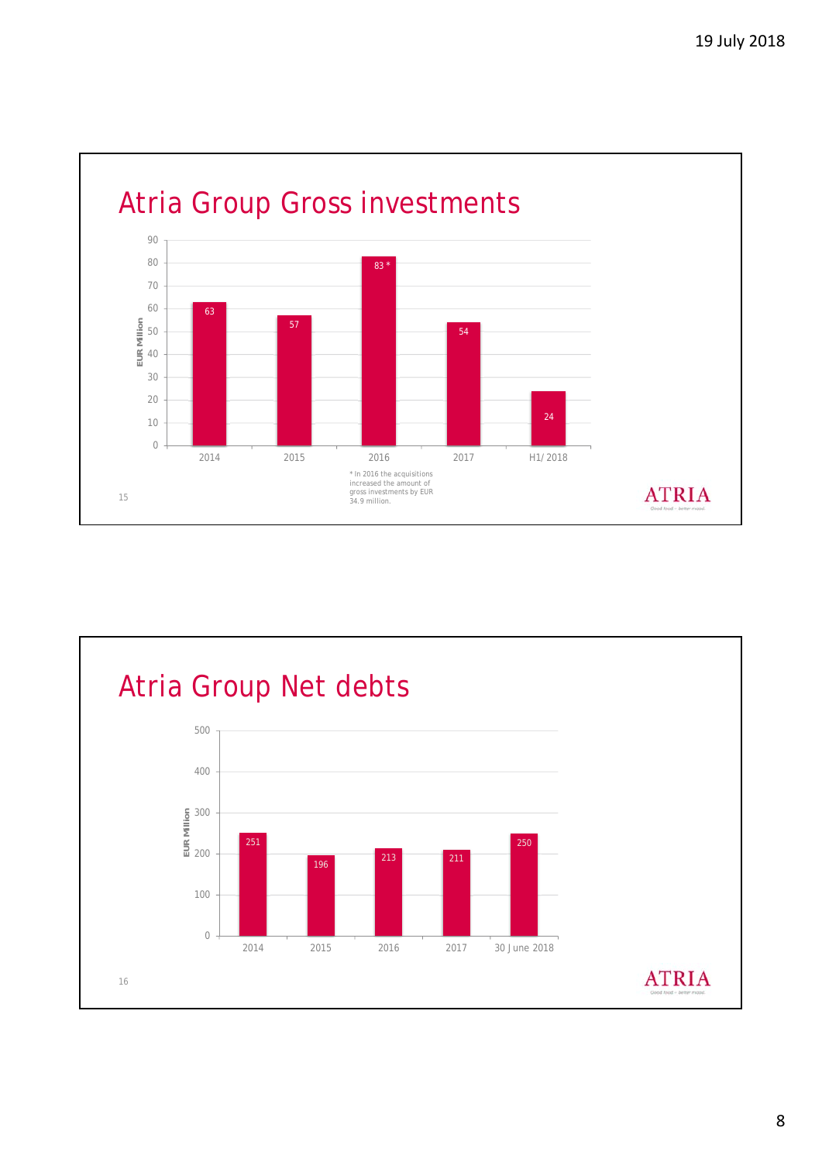![](_page_7_Figure_1.jpeg)

![](_page_7_Figure_2.jpeg)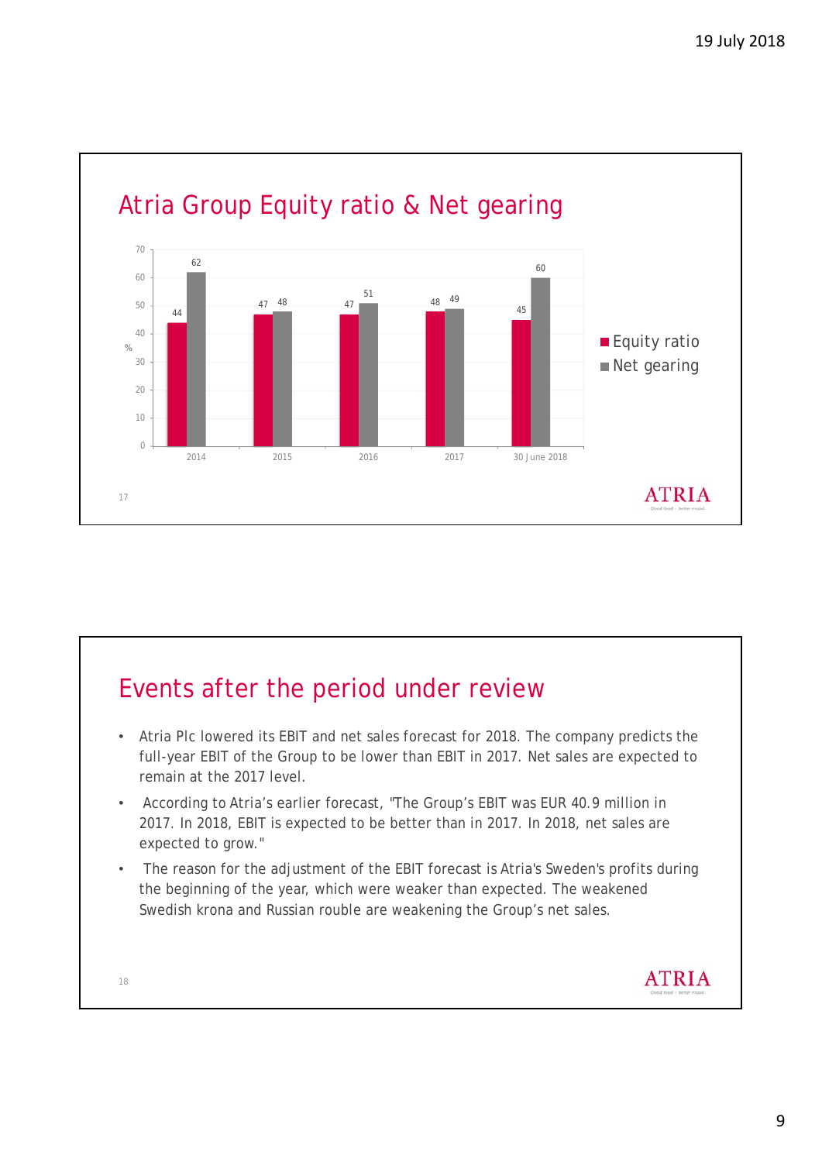![](_page_8_Figure_1.jpeg)

# Events after the period under review

- Atria Plc lowered its EBIT and net sales forecast for 2018. The company predicts the full-year EBIT of the Group to be lower than EBIT in 2017. Net sales are expected to remain at the 2017 level.
- According to Atria's earlier forecast, "The Group's EBIT was EUR 40.9 million in 2017. In 2018, EBIT is expected to be better than in 2017. In 2018, net sales are expected to grow."
- The reason for the adjustment of the EBIT forecast is Atria's Sweden's profits during the beginning of the year, which were weaker than expected. The weakened Swedish krona and Russian rouble are weakening the Group's net sales.

18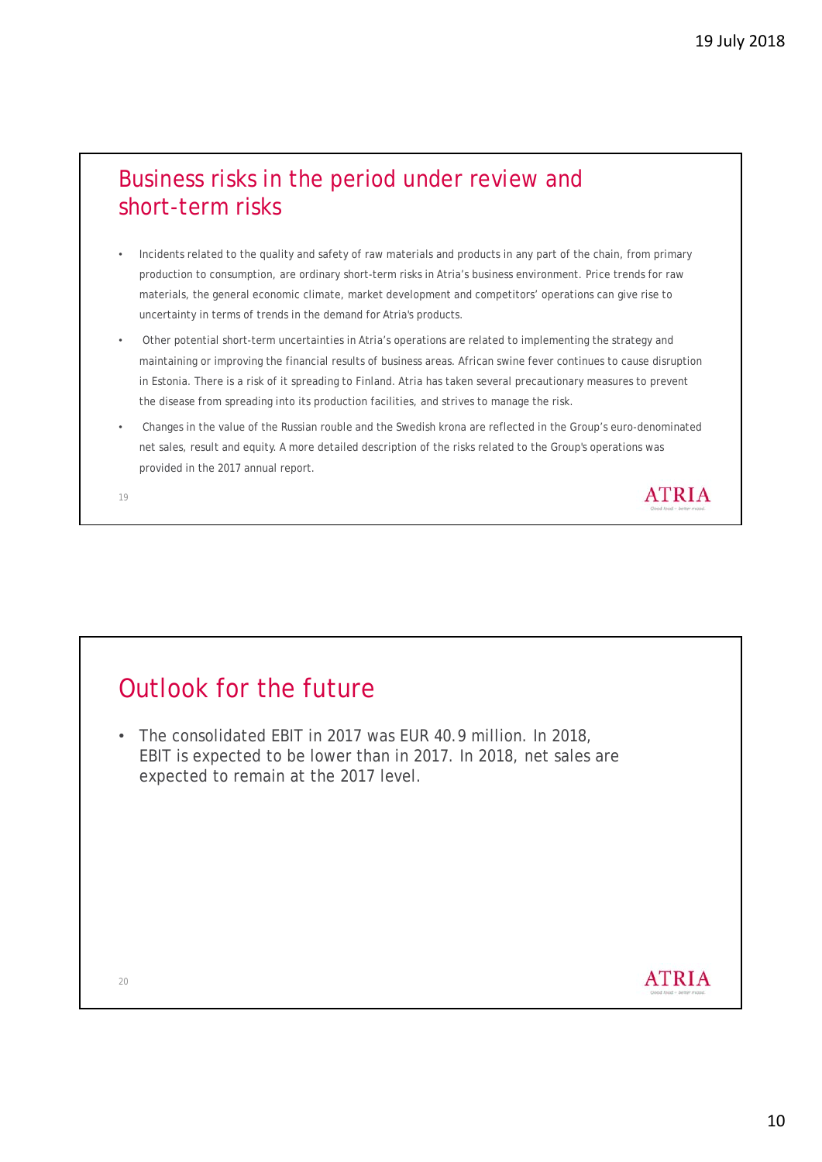#### Business risks in the period under review and short-term risks

- Incidents related to the quality and safety of raw materials and products in any part of the chain, from primary production to consumption, are ordinary short-term risks in Atria's business environment. Price trends for raw materials, the general economic climate, market development and competitors' operations can give rise to uncertainty in terms of trends in the demand for Atria's products.
- Other potential short-term uncertainties in Atria's operations are related to implementing the strategy and maintaining or improving the financial results of business areas. African swine fever continues to cause disruption in Estonia. There is a risk of it spreading to Finland. Atria has taken several precautionary measures to prevent the disease from spreading into its production facilities, and strives to manage the risk.
- Changes in the value of the Russian rouble and the Swedish krona are reflected in the Group's euro-denominated net sales, result and equity. A more detailed description of the risks related to the Group's operations was provided in the 2017 annual report.

19

### Outlook for the future

• The consolidated EBIT in 2017 was EUR 40.9 million. In 2018, EBIT is expected to be lower than in 2017. In 2018, net sales are expected to remain at the 2017 level.

20